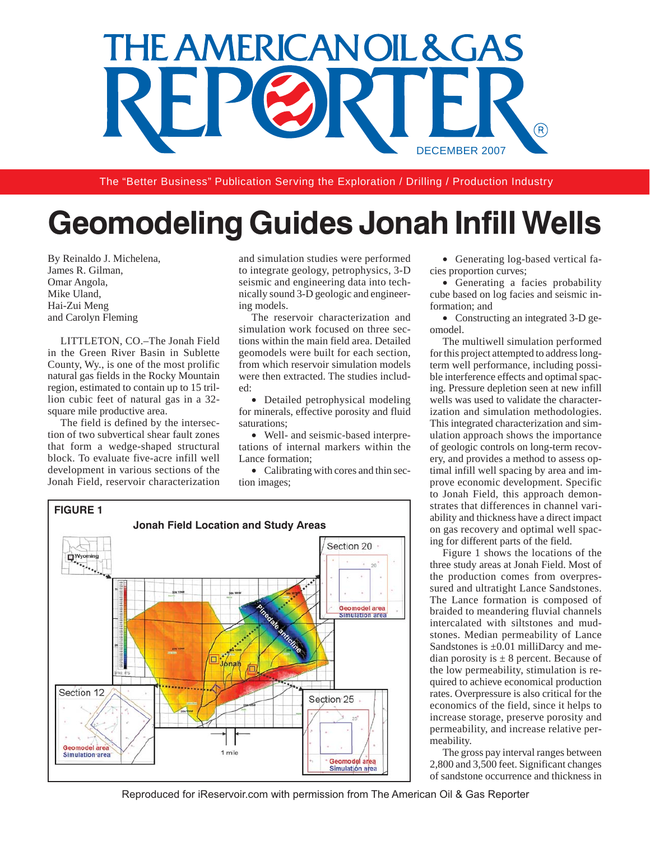

The "Better Business" Publication Serving the Exploration / Drilling / Production Industry

# **Geomodeling Guides Jonah Infill Wells**

By Reinaldo J. Michelena, James R. Gilman, Omar Angola, Mike Uland, Hai-Zui Meng and Carolyn Fleming

LITTLETON, CO.–The Jonah Field in the Green River Basin in Sublette County, Wy., is one of the most prolific natural gas fields in the Rocky Mountain region, estimated to contain up to 15 trillion cubic feet of natural gas in a 32 square mile productive area.

The field is defined by the intersection of two subvertical shear fault zones that form a wedge-shaped structural block. To evaluate five-acre infill well development in various sections of the Jonah Field, reservoir characterization and simulation studies were performed to integrate geology, petrophysics, 3-D seismic and engineering data into technically sound 3-D geologic and engineering models.

The reservoir characterization and simulation work focused on three sections within the main field area. Detailed geomodels were built for each section, from which reservoir simulation models were then extracted. The studies included:

• Detailed petrophysical modeling for minerals, effective porosity and fluid saturations;

• Well- and seismic-based interpretations of internal markers within the Lance formation;

• Calibrating with cores and thin section images;



• Generating log-based vertical facies proportion curves;

• Generating a facies probability cube based on log facies and seismic information; and

• Constructing an integrated 3-D geomodel.

The multiwell simulation performed for this project attempted to address longterm well performance, including possible interference effects and optimal spacing. Pressure depletion seen at new infill wells was used to validate the characterization and simulation methodologies. This integrated characterization and simulation approach shows the importance of geologic controls on long-term recovery, and provides a method to assess optimal infill well spacing by area and improve economic development. Specific to Jonah Field, this approach demonstrates that differences in channel variability and thickness have a direct impact on gas recovery and optimal well spacing for different parts of the field.

Figure 1 shows the locations of the three study areas at Jonah Field. Most of the production comes from overpressured and ultratight Lance Sandstones. The Lance formation is composed of braided to meandering fluvial channels intercalated with siltstones and mudstones. Median permeability of Lance Sandstones is  $\pm 0.01$  milliDarcy and median porosity is  $\pm 8$  percent. Because of the low permeability, stimulation is required to achieve economical production rates. Overpressure is also critical for the economics of the field, since it helps to increase storage, preserve porosity and permeability, and increase relative permeability.

The gross pay interval ranges between 2,800 and 3,500 feet. Significant changes of sandstone occurrence and thickness in

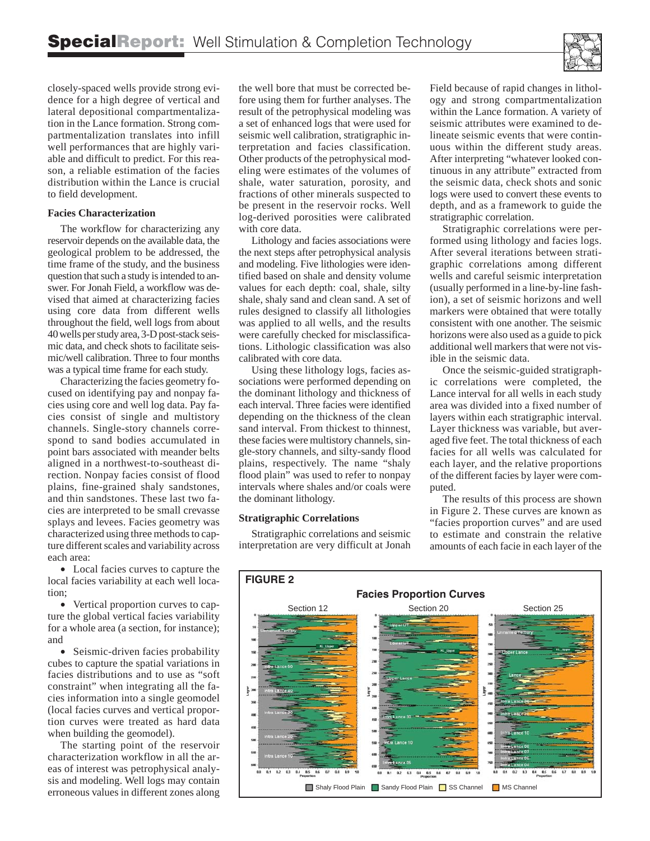

closely-spaced wells provide strong evidence for a high degree of vertical and lateral depositional compartmentalization in the Lance formation. Strong compartmentalization translates into infill well performances that are highly variable and difficult to predict. For this reason, a reliable estimation of the facies distribution within the Lance is crucial to field development.

# **Facies Characterization**

The workflow for characterizing any reservoir depends on the available data, the geological problem to be addressed, the time frame of the study, and the business question that such a study is intended to answer. For Jonah Field, a workflow was devised that aimed at characterizing facies using core data from different wells throughout the field, well logs from about 40 wells per study area, 3-D post-stack seismic data, and check shots to facilitate seismic/well calibration. Three to four months was a typical time frame for each study.

Characterizing the facies geometry focused on identifying pay and nonpay facies using core and well log data. Pay facies consist of single and multistory channels. Single-story channels correspond to sand bodies accumulated in point bars associated with meander belts aligned in a northwest-to-southeast direction. Nonpay facies consist of flood plains, fine-grained shaly sandstones, and thin sandstones. These last two facies are interpreted to be small crevasse splays and levees. Facies geometry was characterized using three methods to capture different scales and variability across each area:

• Local facies curves to capture the local facies variability at each well location;

• Vertical proportion curves to capture the global vertical facies variability for a whole area (a section, for instance); and

• Seismic-driven facies probability cubes to capture the spatial variations in facies distributions and to use as "soft constraint" when integrating all the facies information into a single geomodel (local facies curves and vertical proportion curves were treated as hard data when building the geomodel).

The starting point of the reservoir characterization workflow in all the areas of interest was petrophysical analysis and modeling. Well logs may contain erroneous values in different zones along

the well bore that must be corrected before using them for further analyses. The result of the petrophysical modeling was a set of enhanced logs that were used for seismic well calibration, stratigraphic interpretation and facies classification. Other products of the petrophysical modeling were estimates of the volumes of shale, water saturation, porosity, and fractions of other minerals suspected to be present in the reservoir rocks. Well log-derived porosities were calibrated with core data.

Lithology and facies associations were the next steps after petrophysical analysis and modeling. Five lithologies were identified based on shale and density volume values for each depth: coal, shale, silty shale, shaly sand and clean sand. A set of rules designed to classify all lithologies was applied to all wells, and the results were carefully checked for misclassifications. Lithologic classification was also calibrated with core data.

Using these lithology logs, facies associations were performed depending on the dominant lithology and thickness of each interval. Three facies were identified depending on the thickness of the clean sand interval. From thickest to thinnest, these facies were multistory channels, single-story channels, and silty-sandy flood plains, respectively. The name "shaly flood plain" was used to refer to nonpay intervals where shales and/or coals were the dominant lithology.

#### **Stratigraphic Correlations**

Stratigraphic correlations and seismic interpretation are very difficult at Jonah

Field because of rapid changes in lithology and strong compartmentalization within the Lance formation. A variety of seismic attributes were examined to delineate seismic events that were continuous within the different study areas. After interpreting "whatever looked continuous in any attribute" extracted from the seismic data, check shots and sonic logs were used to convert these events to depth, and as a framework to guide the stratigraphic correlation.

Stratigraphic correlations were performed using lithology and facies logs. After several iterations between stratigraphic correlations among different wells and careful seismic interpretation (usually performed in a line-by-line fashion), a set of seismic horizons and well markers were obtained that were totally consistent with one another. The seismic horizons were also used as a guide to pick additional well markers that were not visible in the seismic data.

Once the seismic-guided stratigraphic correlations were completed, the Lance interval for all wells in each study area was divided into a fixed number of layers within each stratigraphic interval. Layer thickness was variable, but averaged five feet. The total thickness of each facies for all wells was calculated for each layer, and the relative proportions of the different facies by layer were computed.

The results of this process are shown in Figure 2. These curves are known as "facies proportion curves" and are used to estimate and constrain the relative amounts of each facie in each layer of the

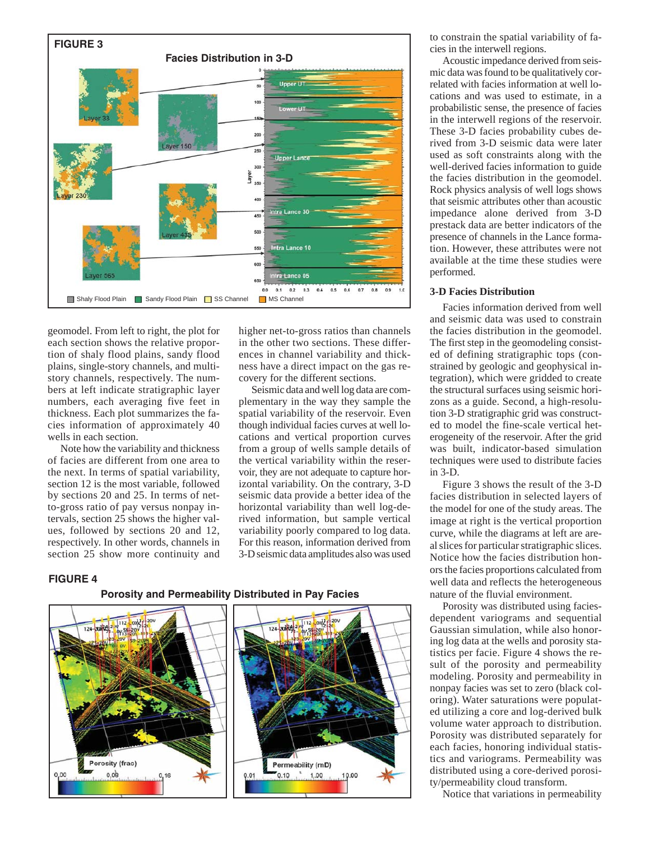

geomodel. From left to right, the plot for each section shows the relative proportion of shaly flood plains, sandy flood plains, single-story channels, and multistory channels, respectively. The numbers at left indicate stratigraphic layer numbers, each averaging five feet in thickness. Each plot summarizes the facies information of approximately 40 wells in each section.

Note how the variability and thickness of facies are different from one area to the next. In terms of spatial variability, section 12 is the most variable, followed by sections 20 and 25. In terms of netto-gross ratio of pay versus nonpay intervals, section 25 shows the higher values, followed by sections 20 and 12, respectively. In other words, channels in section 25 show more continuity and higher net-to-gross ratios than channels in the other two sections. These differences in channel variability and thickness have a direct impact on the gas recovery for the different sections.

Seismic data and well log data are complementary in the way they sample the spatial variability of the reservoir. Even though individual facies curves at well locations and vertical proportion curves from a group of wells sample details of the vertical variability within the reservoir, they are not adequate to capture horizontal variability. On the contrary, 3-D seismic data provide a better idea of the horizontal variability than well log-derived information, but sample vertical variability poorly compared to log data. For this reason, information derived from 3-D seismic data amplitudes also was used

## **FIGURE 4**





to constrain the spatial variability of facies in the interwell regions.

Acoustic impedance derived from seismic data was found to be qualitatively correlated with facies information at well locations and was used to estimate, in a probabilistic sense, the presence of facies in the interwell regions of the reservoir. These 3-D facies probability cubes derived from 3-D seismic data were later used as soft constraints along with the well-derived facies information to guide the facies distribution in the geomodel. Rock physics analysis of well logs shows that seismic attributes other than acoustic impedance alone derived from 3-D prestack data are better indicators of the presence of channels in the Lance formation. However, these attributes were not available at the time these studies were performed.

#### **3-D Facies Distribution**

Facies information derived from well and seismic data was used to constrain the facies distribution in the geomodel. The first step in the geomodeling consisted of defining stratigraphic tops (constrained by geologic and geophysical integration), which were gridded to create the structural surfaces using seismic horizons as a guide. Second, a high-resolution 3-D stratigraphic grid was constructed to model the fine-scale vertical heterogeneity of the reservoir. After the grid was built, indicator-based simulation techniques were used to distribute facies in 3-D.

Figure 3 shows the result of the 3-D facies distribution in selected layers of the model for one of the study areas. The image at right is the vertical proportion curve, while the diagrams at left are areal slices for particular stratigraphic slices. Notice how the facies distribution honors the facies proportions calculated from well data and reflects the heterogeneous nature of the fluvial environment.

Porosity was distributed using faciesdependent variograms and sequential Gaussian simulation, while also honoring log data at the wells and porosity statistics per facie. Figure 4 shows the result of the porosity and permeability modeling. Porosity and permeability in nonpay facies was set to zero (black coloring). Water saturations were populated utilizing a core and log-derived bulk volume water approach to distribution. Porosity was distributed separately for each facies, honoring individual statistics and variograms. Permeability was distributed using a core-derived porosity/permeability cloud transform.

Notice that variations in permeability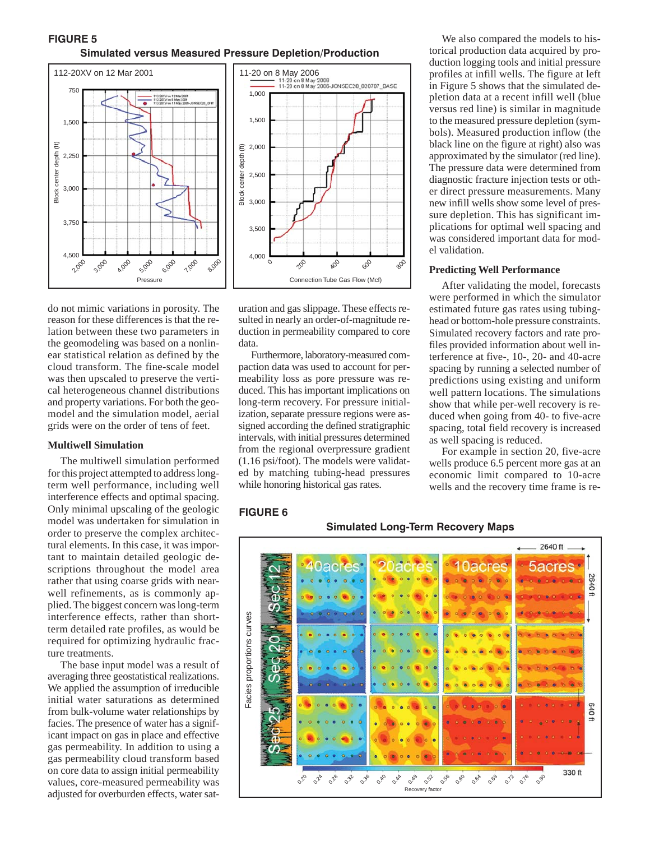# **FIGURE 5 Simulated versus Measured Pressure Depletion/Production**





do not mimic variations in porosity. The reason for these differences is that the relation between these two parameters in the geomodeling was based on a nonlinear statistical relation as defined by the cloud transform. The fine-scale model was then upscaled to preserve the vertical heterogeneous channel distributions and property variations. For both the geomodel and the simulation model, aerial grids were on the order of tens of feet.

# **Multiwell Simulation**

The multiwell simulation performed for this project attempted to address longterm well performance, including well interference effects and optimal spacing. Only minimal upscaling of the geologic model was undertaken for simulation in order to preserve the complex architectural elements. In this case, it was important to maintain detailed geologic descriptions throughout the model area rather that using coarse grids with nearwell refinements, as is commonly applied. The biggest concern was long-term interference effects, rather than shortterm detailed rate profiles, as would be required for optimizing hydraulic fracture treatments.

The base input model was a result of averaging three geostatistical realizations. We applied the assumption of irreducible initial water saturations as determined from bulk-volume water relationships by facies. The presence of water has a significant impact on gas in place and effective gas permeability. In addition to using a gas permeability cloud transform based on core data to assign initial permeability values, core-measured permeability was adjusted for overburden effects, water saturation and gas slippage. These effects resulted in nearly an order-of-magnitude reduction in permeability compared to core data.

Furthermore, laboratory-measured compaction data was used to account for permeability loss as pore pressure was reduced. This has important implications on long-term recovery. For pressure initialization, separate pressure regions were assigned according the defined stratigraphic intervals, with initial pressures determined from the regional overpressure gradient (1.16 psi/foot). The models were validated by matching tubing-head pressures while honoring historical gas rates.

We also compared the models to historical production data acquired by production logging tools and initial pressure profiles at infill wells. The figure at left in Figure 5 shows that the simulated depletion data at a recent infill well (blue versus red line) is similar in magnitude to the measured pressure depletion (symbols). Measured production inflow (the black line on the figure at right) also was approximated by the simulator (red line). The pressure data were determined from diagnostic fracture injection tests or other direct pressure measurements. Many new infill wells show some level of pressure depletion. This has significant implications for optimal well spacing and was considered important data for model validation.

#### **Predicting Well Performance**

After validating the model, forecasts were performed in which the simulator estimated future gas rates using tubinghead or bottom-hole pressure constraints. Simulated recovery factors and rate profiles provided information about well interference at five-, 10-, 20- and 40-acre spacing by running a selected number of predictions using existing and uniform well pattern locations. The simulations show that while per-well recovery is reduced when going from 40- to five-acre spacing, total field recovery is increased as well spacing is reduced.

For example in section 20, five-acre wells produce 6.5 percent more gas at an economic limit compared to 10-acre wells and the recovery time frame is re-

# **FIGURE 6**